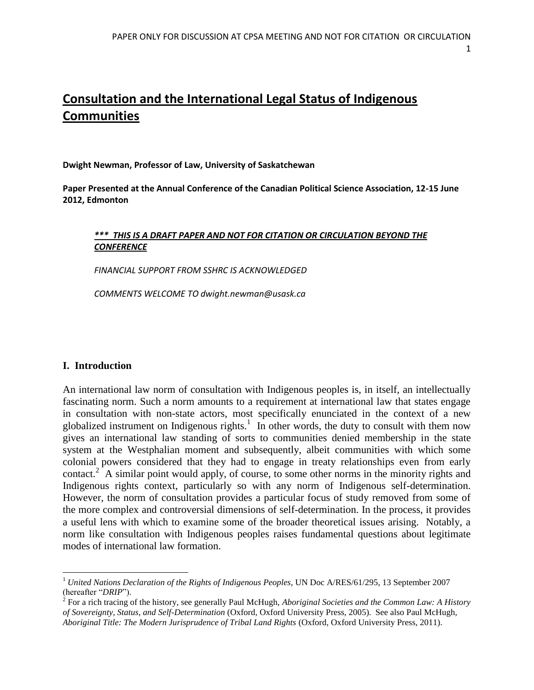# **Consultation and the International Legal Status of Indigenous Communities**

**Dwight Newman, Professor of Law, University of Saskatchewan**

**Paper Presented at the Annual Conference of the Canadian Political Science Association, 12-15 June 2012, Edmonton**

#### *\*\*\* THIS IS A DRAFT PAPER AND NOT FOR CITATION OR CIRCULATION BEYOND THE CONFERENCE*

*FINANCIAL SUPPORT FROM SSHRC IS ACKNOWLEDGED*

*COMMENTS WELCOME TO dwight.newman@usask.ca*

#### **I. Introduction**

An international law norm of consultation with Indigenous peoples is, in itself, an intellectually fascinating norm. Such a norm amounts to a requirement at international law that states engage in consultation with non-state actors, most specifically enunciated in the context of a new globalized instrument on Indigenous rights.<sup>1</sup> In other words, the duty to consult with them now gives an international law standing of sorts to communities denied membership in the state system at the Westphalian moment and subsequently, albeit communities with which some colonial powers considered that they had to engage in treaty relationships even from early contact.<sup>2</sup> A similar point would apply, of course, to some other norms in the minority rights and Indigenous rights context, particularly so with any norm of Indigenous self-determination. However, the norm of consultation provides a particular focus of study removed from some of the more complex and controversial dimensions of self-determination. In the process, it provides a useful lens with which to examine some of the broader theoretical issues arising. Notably, a norm like consultation with Indigenous peoples raises fundamental questions about legitimate modes of international law formation.

 $\overline{a}$ <sup>1</sup> *United Nations Declaration of the Rights of Indigenous Peoples*, UN Doc A/RES/61/295, 13 September 2007 (hereafter "*DRIP*").

<sup>2</sup> For a rich tracing of the history, see generally Paul McHugh, *Aboriginal Societies and the Common Law: A History of Sovereignty, Status, and Self-Determination* (Oxford, Oxford University Press, 2005). See also Paul McHugh, *Aboriginal Title: The Modern Jurisprudence of Tribal Land Rights* (Oxford, Oxford University Press, 2011).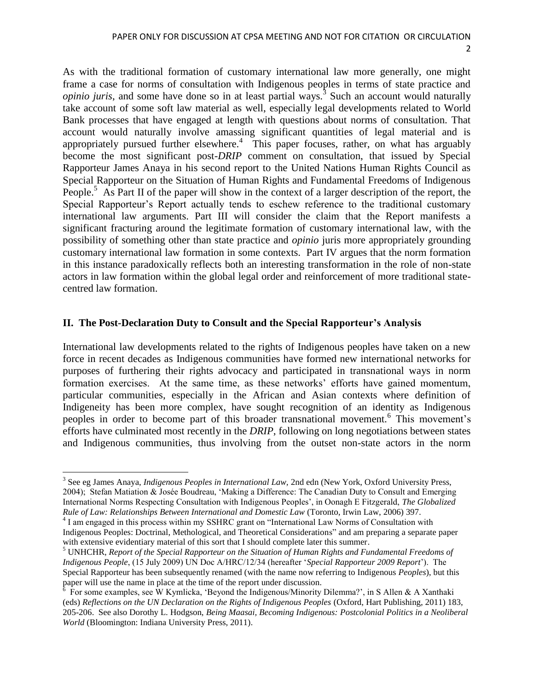As with the traditional formation of customary international law more generally, one might frame a case for norms of consultation with Indigenous peoples in terms of state practice and *opinio juris*, and some have done so in at least partial ways.<sup>3</sup> Such an account would naturally take account of some soft law material as well, especially legal developments related to World Bank processes that have engaged at length with questions about norms of consultation. That account would naturally involve amassing significant quantities of legal material and is appropriately pursued further elsewhere.<sup>4</sup> This paper focuses, rather, on what has arguably become the most significant post-*DRIP* comment on consultation, that issued by Special Rapporteur James Anaya in his second report to the United Nations Human Rights Council as Special Rapporteur on the Situation of Human Rights and Fundamental Freedoms of Indigenous People.<sup>5</sup> As Part II of the paper will show in the context of a larger description of the report, the Special Rapporteur's Report actually tends to eschew reference to the traditional customary international law arguments. Part III will consider the claim that the Report manifests a significant fracturing around the legitimate formation of customary international law, with the possibility of something other than state practice and *opinio* juris more appropriately grounding customary international law formation in some contexts. Part IV argues that the norm formation in this instance paradoxically reflects both an interesting transformation in the role of non-state actors in law formation within the global legal order and reinforcement of more traditional statecentred law formation.

#### **II. The Post-Declaration Duty to Consult and the Special Rapporteur's Analysis**

International law developments related to the rights of Indigenous peoples have taken on a new force in recent decades as Indigenous communities have formed new international networks for purposes of furthering their rights advocacy and participated in transnational ways in norm formation exercises. At the same time, as these networks' efforts have gained momentum, particular communities, especially in the African and Asian contexts where definition of Indigeneity has been more complex, have sought recognition of an identity as Indigenous peoples in order to become part of this broader transnational movement.<sup>6</sup> This movement's efforts have culminated most recently in the *DRIP*, following on long negotiations between states and Indigenous communities, thus involving from the outset non-state actors in the norm

l 3 See eg James Anaya, *Indigenous Peoples in International Law,* 2nd edn (New York, Oxford University Press, 2004); Stefan Matiation & Josée Boudreau, 'Making a Difference: The Canadian Duty to Consult and Emerging International Norms Respecting Consultation with Indigenous Peoples', in Oonagh E Fitzgerald, *The Globalized Rule of Law: Relationships Between International and Domestic Law* (Toronto, Irwin Law, 2006) 397.

<sup>&</sup>lt;sup>4</sup> I am engaged in this process within my SSHRC grant on "International Law Norms of Consultation with Indigenous Peoples: Doctrinal, Methological, and Theoretical Considerations" and am preparing a separate paper with extensive evidentiary material of this sort that I should complete later this summer.

<sup>5</sup> UNHCHR, *Report of the Special Rapporteur on the Situation of Human Rights and Fundamental Freedoms of Indigenous People*, (15 July 2009) UN Doc A/HRC/12/34 (hereafter '*Special Rapporteur 2009 Report*'). The Special Rapporteur has been subsequently renamed (with the name now referring to Indigenous *Peoples*), but this paper will use the name in place at the time of the report under discussion.

 $6$  For some examples, see W Kymlicka, 'Beyond the Indigenous/Minority Dilemma?', in S Allen & A Xanthaki (eds) *Reflections on the UN Declaration on the Rights of Indigenous Peoples* (Oxford, Hart Publishing, 2011) 183, 205-206. See also Dorothy L. Hodgson, *Being Maasai, Becoming Indigenous: Postcolonial Politics in a Neoliberal World* (Bloomington: Indiana University Press, 2011).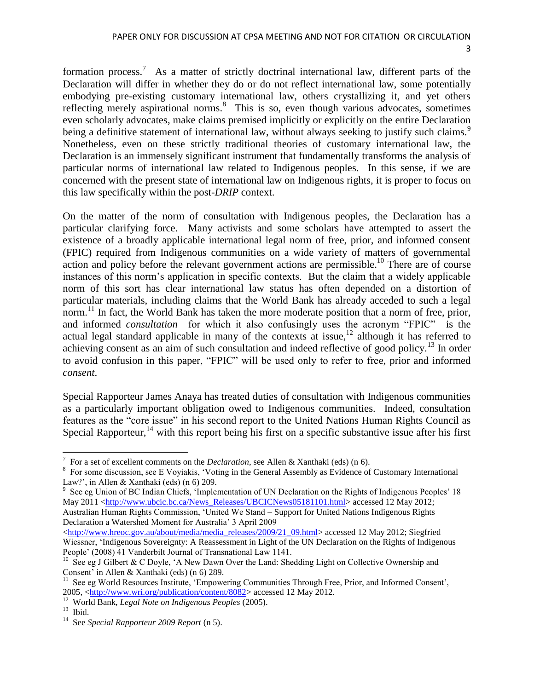formation process.<sup>7</sup> As a matter of strictly doctrinal international law, different parts of the Declaration will differ in whether they do or do not reflect international law, some potentially embodying pre-existing customary international law, others crystallizing it, and yet others reflecting merely aspirational norms.<sup>8</sup> This is so, even though various advocates, sometimes even scholarly advocates, make claims premised implicitly or explicitly on the entire Declaration being a definitive statement of international law, without always seeking to justify such claims.<sup>9</sup> Nonetheless, even on these strictly traditional theories of customary international law, the Declaration is an immensely significant instrument that fundamentally transforms the analysis of particular norms of international law related to Indigenous peoples. In this sense, if we are concerned with the present state of international law on Indigenous rights, it is proper to focus on this law specifically within the post-*DRIP* context.

On the matter of the norm of consultation with Indigenous peoples, the Declaration has a particular clarifying force. Many activists and some scholars have attempted to assert the existence of a broadly applicable international legal norm of free, prior, and informed consent (FPIC) required from Indigenous communities on a wide variety of matters of governmental action and policy before the relevant government actions are permissible.<sup>10</sup> There are of course instances of this norm's application in specific contexts. But the claim that a widely applicable norm of this sort has clear international law status has often depended on a distortion of particular materials, including claims that the World Bank has already acceded to such a legal norm.<sup>11</sup> In fact, the World Bank has taken the more moderate position that a norm of free, prior, and informed *consultation*—for which it also confusingly uses the acronym "FPIC"—is the actual legal standard applicable in many of the contexts at issue,<sup>12</sup> although it has referred to achieving consent as an aim of such consultation and indeed reflective of good policy.<sup>13</sup> In order to avoid confusion in this paper, "FPIC" will be used only to refer to free, prior and informed *consent*.

Special Rapporteur James Anaya has treated duties of consultation with Indigenous communities as a particularly important obligation owed to Indigenous communities. Indeed, consultation features as the "core issue" in his second report to the United Nations Human Rights Council as Special Rapporteur,<sup>14</sup> with this report being his first on a specific substantive issue after his first

 7 For a set of excellent comments on the *Declaration*, see Allen & Xanthaki (eds) (n 6).

<sup>&</sup>lt;sup>8</sup> For some discussion, see E Voyiakis, 'Voting in the General Assembly as Evidence of Customary International Law?', in Allen & Xanthaki (eds) (n 6) 209.

<sup>&</sup>lt;sup>9</sup> See eg Union of BC Indian Chiefs, 'Implementation of UN Declaration on the Rights of Indigenous Peoples' 18 May 2011 [<http://www.ubcic.bc.ca/News\\_Releases/UBCICNews05181101.html>](http://www.ubcic.bc.ca/News_Releases/UBCICNews05181101.html) accessed 12 May 2012; Australian Human Rights Commission, 'United We Stand – Support for United Nations Indigenous Rights Declaration a Watershed Moment for Australia' 3 April 2009

[<sup>&</sup>lt;http://www.hreoc.gov.au/about/media/media\\_releases/2009/21\\_09.html>](http://www.hreoc.gov.au/about/media/media_releases/2009/21_09.html) accessed 12 May 2012; Siegfried Wiessner, 'Indigenous Sovereignty: A Reassessment in Light of the UN Declaration on the Rights of Indigenous People' (2008) 41 Vanderbilt Journal of Transnational Law 1141.

<sup>&</sup>lt;sup>10</sup> See eg J Gilbert & C Doyle, 'A New Dawn Over the Land: Shedding Light on Collective Ownership and Consent' in Allen & Xanthaki (eds) (n 6) 289.

<sup>&</sup>lt;sup>11</sup> See eg World Resources Institute, 'Empowering Communities Through Free, Prior, and Informed Consent', 2005, <<u>http://www.wri.org/publication/content/8082</u>> accessed 12 May 2012.<br><sup>12</sup> World Bank, *Legal Note on Indigenous Peoples* (2005).

 $13$  Ibid.

<sup>14</sup> See *Special Rapporteur 2009 Report* (n 5).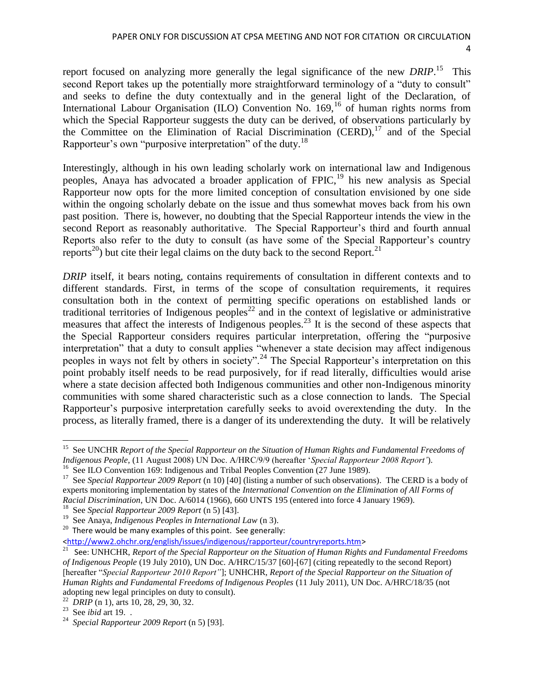report focused on analyzing more generally the legal significance of the new *DRIP*. 15 This second Report takes up the potentially more straightforward terminology of a "duty to consult" and seeks to define the duty contextually and in the general light of the Declaration, of International Labour Organisation (ILO) Convention No. 169,<sup>16</sup> of human rights norms from which the Special Rapporteur suggests the duty can be derived, of observations particularly by the Committee on the Elimination of Racial Discrimination  $(CERD)$ ,<sup>17</sup> and of the Special Rapporteur's own "purposive interpretation" of the duty.<sup>18</sup>

Interestingly, although in his own leading scholarly work on international law and Indigenous peoples, Anaya has advocated a broader application of FPIC,<sup>19</sup> his new analysis as Special Rapporteur now opts for the more limited conception of consultation envisioned by one side within the ongoing scholarly debate on the issue and thus somewhat moves back from his own past position. There is, however, no doubting that the Special Rapporteur intends the view in the second Report as reasonably authoritative. The Special Rapporteur's third and fourth annual Reports also refer to the duty to consult (as have some of the Special Rapporteur's country reports<sup>20</sup>) but cite their legal claims on the duty back to the second Report.<sup>21</sup>

*DRIP* itself, it bears noting, contains requirements of consultation in different contexts and to different standards. First, in terms of the scope of consultation requirements, it requires consultation both in the context of permitting specific operations on established lands or traditional territories of Indigenous peoples<sup>22</sup> and in the context of legislative or administrative measures that affect the interests of Indigenous peoples.<sup>23</sup> It is the second of these aspects that the Special Rapporteur considers requires particular interpretation, offering the "purposive interpretation" that a duty to consult applies "whenever a state decision may affect indigenous peoples in ways not felt by others in society".<sup>24</sup> The Special Rapporteur's interpretation on this point probably itself needs to be read purposively, for if read literally, difficulties would arise where a state decision affected both Indigenous communities and other non-Indigenous minority communities with some shared characteristic such as a close connection to lands. The Special Rapporteur's purposive interpretation carefully seeks to avoid overextending the duty. In the process, as literally framed, there is a danger of its underextending the duty. It will be relatively

[<http://www2.ohchr.org/english/issues/indigenous/rapporteur/countryreports.htm>](http://www2.ohchr.org/english/issues/indigenous/rapporteur/countryreports.htm)

<sup>&</sup>lt;sup>15</sup> See UNCHR *Report of the Special Rapporteur on the Situation of Human Rights and Fundamental Freedoms of Indigenous People,* (11 August 2008) UN Doc. A/HRC/9/9 (hereafter '*Special Rapporteur 2008 Report'*).

<sup>&</sup>lt;sup>16</sup> See ILO Convention 169: Indigenous and Tribal Peoples Convention (27 June 1989).

<sup>&</sup>lt;sup>17</sup> See *Special Rapporteur 2009 Report* (n 10) [40] (listing a number of such observations). The CERD is a body of experts monitoring implementation by states of the *International Convention on the Elimination of All Forms of Racial Discrimination*, UN Doc. A/6014 (1966), 660 UNTS 195 (entered into force 4 January 1969).

<sup>18</sup> See *Special Rapporteur 2009 Report* (n 5) [43].

<sup>19</sup> See Anaya, *Indigenous Peoples in International Law* (n 3).

 $^{20}$  There would be many examples of this point. See generally:

<sup>21</sup> See: UNHCHR, *Report of the Special Rapporteur on the Situation of Human Rights and Fundamental Freedoms of Indigenous People* (19 July 2010), UN Doc. A/HRC/15/37 [60]-[67] (citing repeatedly to the second Report) [hereafter "*Special Rapporteur 2010 Report"*]; UNHCHR, *Report of the Special Rapporteur on the Situation of Human Rights and Fundamental Freedoms of Indigenous Peoples* (11 July 2011), UN Doc. A/HRC/18/35 (not adopting new legal principles on duty to consult).

<sup>22</sup> *DRIP* (n 1), arts 10, 28, 29, 30, 32.

<sup>23</sup> See *ibid* art 19. .

<sup>24</sup> *Special Rapporteur 2009 Report* (n 5) [93].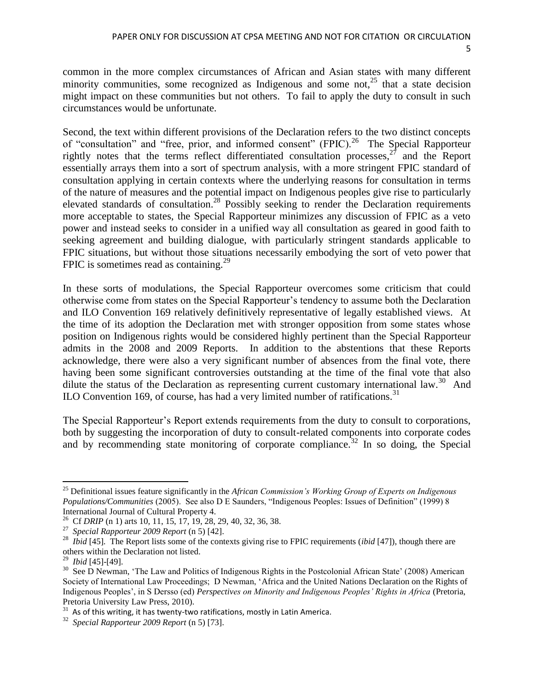5

common in the more complex circumstances of African and Asian states with many different minority communities, some recognized as Indigenous and some not,  $2^5$  that a state decision might impact on these communities but not others. To fail to apply the duty to consult in such circumstances would be unfortunate.

Second, the text within different provisions of the Declaration refers to the two distinct concepts of "consultation" and "free, prior, and informed consent" (FPIC).<sup>26</sup> The Special Rapporteur rightly notes that the terms reflect differentiated consultation processes,  $2^7$  and the Report essentially arrays them into a sort of spectrum analysis, with a more stringent FPIC standard of consultation applying in certain contexts where the underlying reasons for consultation in terms of the nature of measures and the potential impact on Indigenous peoples give rise to particularly elevated standards of consultation.<sup>28</sup> Possibly seeking to render the Declaration requirements more acceptable to states, the Special Rapporteur minimizes any discussion of FPIC as a veto power and instead seeks to consider in a unified way all consultation as geared in good faith to seeking agreement and building dialogue, with particularly stringent standards applicable to FPIC situations, but without those situations necessarily embodying the sort of veto power that FPIC is sometimes read as containing.<sup>29</sup>

In these sorts of modulations, the Special Rapporteur overcomes some criticism that could otherwise come from states on the Special Rapporteur's tendency to assume both the Declaration and ILO Convention 169 relatively definitively representative of legally established views. At the time of its adoption the Declaration met with stronger opposition from some states whose position on Indigenous rights would be considered highly pertinent than the Special Rapporteur admits in the 2008 and 2009 Reports. In addition to the abstentions that these Reports acknowledge, there were also a very significant number of absences from the final vote, there having been some significant controversies outstanding at the time of the final vote that also dilute the status of the Declaration as representing current customary international law.<sup>30</sup> And ILO Convention 169, of course, has had a very limited number of ratifications.<sup>31</sup>

The Special Rapporteur's Report extends requirements from the duty to consult to corporations, both by suggesting the incorporation of duty to consult-related components into corporate codes and by recommending state monitoring of corporate compliance.<sup>32</sup> In so doing, the Special

 $\overline{a}$ <sup>25</sup> Definitional issues feature significantly in the *African Commission's Working Group of Experts on Indigenous Populations/Communities* (2005). See also D E Saunders, "Indigenous Peoples: Issues of Definition" (1999) 8 International Journal of Cultural Property 4.

<sup>26</sup> Cf *DRIP* (n 1) arts 10, 11, 15, 17, 19, 28, 29, 40, 32, 36, 38.

<sup>27</sup> *Special Rapporteur 2009 Report* (n 5) [42].

<sup>&</sup>lt;sup>28</sup> *Ibid* [45]. The Report lists some of the contexts giving rise to FPIC requirements (*ibid* [47]), though there are others within the Declaration not listed.

<sup>29</sup> *Ibid* [45]-[49].

<sup>&</sup>lt;sup>30</sup> See D Newman, 'The Law and Politics of Indigenous Rights in the Postcolonial African State' (2008) American Society of International Law Proceedings; D Newman, 'Africa and the United Nations Declaration on the Rights of Indigenous Peoples', in S Dersso (ed) *Perspectives on Minority and Indigenous Peoples' Rights in Africa* (Pretoria, Pretoria University Law Press, 2010).

 $31$  As of this writing, it has twenty-two ratifications, mostly in Latin America.

<sup>32</sup> *Special Rapporteur 2009 Report* (n 5) [73].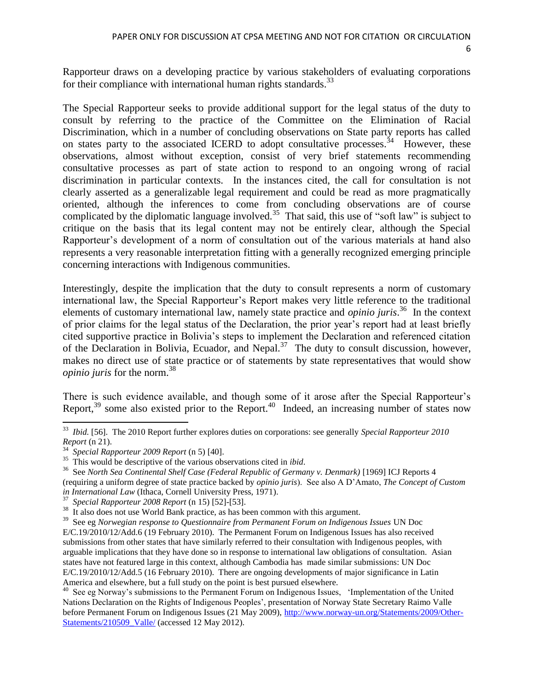Rapporteur draws on a developing practice by various stakeholders of evaluating corporations for their compliance with international human rights standards.<sup>33</sup>

The Special Rapporteur seeks to provide additional support for the legal status of the duty to consult by referring to the practice of the Committee on the Elimination of Racial Discrimination, which in a number of concluding observations on State party reports has called on states party to the associated ICERD to adopt consultative processes.<sup>34</sup> However, these observations, almost without exception, consist of very brief statements recommending consultative processes as part of state action to respond to an ongoing wrong of racial discrimination in particular contexts. In the instances cited, the call for consultation is not clearly asserted as a generalizable legal requirement and could be read as more pragmatically oriented, although the inferences to come from concluding observations are of course complicated by the diplomatic language involved.<sup>35</sup> That said, this use of "soft law" is subject to critique on the basis that its legal content may not be entirely clear, although the Special Rapporteur's development of a norm of consultation out of the various materials at hand also represents a very reasonable interpretation fitting with a generally recognized emerging principle concerning interactions with Indigenous communities.

Interestingly, despite the implication that the duty to consult represents a norm of customary international law, the Special Rapporteur's Report makes very little reference to the traditional elements of customary international law, namely state practice and *opinio juris*. 36 In the context of prior claims for the legal status of the Declaration, the prior year's report had at least briefly cited supportive practice in Bolivia's steps to implement the Declaration and referenced citation of the Declaration in Bolivia, Ecuador, and Nepal.<sup>37</sup> The duty to consult discussion, however, makes no direct use of state practice or of statements by state representatives that would show *opinio juris* for the norm.<sup>38</sup>

There is such evidence available, and though some of it arose after the Special Rapporteur's Report,<sup>39</sup> some also existed prior to the Report.<sup>40</sup> Indeed, an increasing number of states now

 33 *Ibid.* [56]. The 2010 Report further explores duties on corporations: see generally *Special Rapporteur 2010 Report* (n 21).

<sup>34</sup> *Special Rapporteur 2009 Report* (n 5) [40].

<sup>35</sup> This would be descriptive of the various observations cited in *ibid*.

<sup>36</sup> See *North Sea Continental Shelf Case (Federal Republic of Germany v. Denmark)* [1969] ICJ Reports 4 (requiring a uniform degree of state practice backed by *opinio juris*). See also A D'Amato, *The Concept of Custom in International Law* (Ithaca, Cornell University Press, 1971).

<sup>37</sup> *Special Rapporteur 2008 Report* (n 15) [52]-[53].

<sup>&</sup>lt;sup>38</sup> It also does not use World Bank practice, as has been common with this argument.

<sup>39</sup> See eg *Norwegian response to Questionnaire from Permanent Forum on Indigenous Issues* UN Doc

E/C.19/2010/12/Add.6 (19 February 2010). The Permanent Forum on Indigenous Issues has also received submissions from other states that have similarly referred to their consultation with Indigenous peoples, with arguable implications that they have done so in response to international law obligations of consultation. Asian states have not featured large in this context, although Cambodia has made similar submissions: UN Doc E/C.19/2010/12/Add.5 (16 February 2010). There are ongoing developments of major significance in Latin America and elsewhere, but a full study on the point is best pursued elsewhere.

<sup>&</sup>lt;sup>40</sup> See eg Norway's submissions to the Permanent Forum on Indigenous Issues, 'Implementation of the United Nations Declaration on the Rights of Indigenous Peoples', presentation of Norway State Secretary Raimo Valle before Permanent Forum on Indigenous Issues (21 May 2009), [http://www.norway-un.org/Statements/2009/Other-](http://www.norway-un.org/Statements/2009/Other-Statements/210509_Valle/)Statements/210509 Valle/ (accessed 12 May 2012).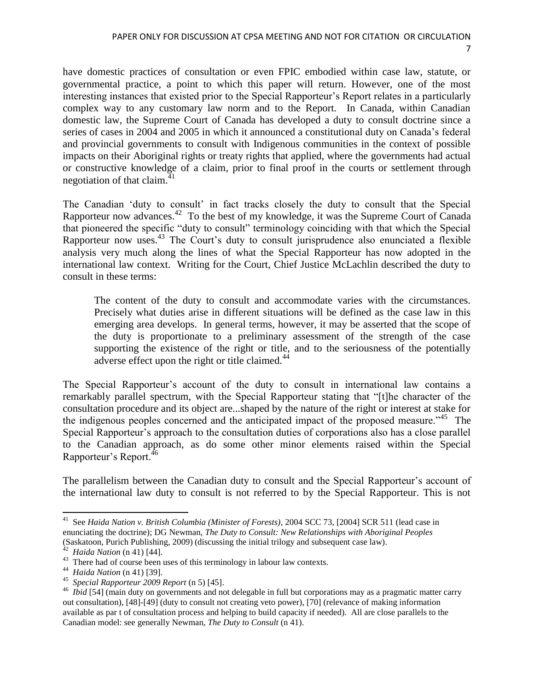have domestic practices of consultation or even FPIC embodied within case law, statute, or governmental practice, a point to which this paper will return. However, one of the most interesting instances that existed prior to the Special Rapporteur's Report relates in a particularly complex way to any customary law norm and to the Report. In Canada, within Canadian domestic law, the Supreme Court of Canada has developed a duty to consult doctrine since a series of cases in 2004 and 2005 in which it announced a constitutional duty on Canada's federal and provincial governments to consult with Indigenous communities in the context of possible impacts on their Aboriginal rights or treaty rights that applied, where the governments had actual or constructive knowledge of a claim, prior to final proof in the courts or settlement through

The Canadian 'duty to consult' in fact tracks closely the duty to consult that the Special Rapporteur now advances.<sup>42</sup> To the best of my knowledge, it was the Supreme Court of Canada that pioneered the specific "duty to consult" terminology coinciding with that which the Special Rapporteur now uses.<sup>43</sup> The Court's duty to consult jurisprudence also enunciated a flexible analysis very much along the lines of what the Special Rapporteur has now adopted in the international law context. Writing for the Court, Chief Justice McLachlin described the duty to consult in these terms:

The content of the duty to consult and accommodate varies with the circumstances. Precisely what duties arise in different situations will be defined as the case law in this emerging area develops. In general terms, however, it may be asserted that the scope of the duty is proportionate to a preliminary assessment of the strength of the case supporting the existence of the right or title, and to the seriousness of the potentially adverse effect upon the right or title claimed.<sup>44</sup>

The Special Rapporteur's account of the duty to consult in international law contains a remarkably parallel spectrum, with the Special Rapporteur stating that "[t]he character of the consultation procedure and its object are...shaped by the nature of the right or interest at stake for the indigenous peoples concerned and the anticipated impact of the proposed measure."<sup>45</sup> The Special Rapporteur's approach to the consultation duties of corporations also has a close parallel to the Canadian approach, as do some other minor elements raised within the Special Rapporteur's Report.<sup>46</sup>

The parallelism between the Canadian duty to consult and the Special Rapporteur's account of the international law duty to consult is not referred to by the Special Rapporteur. This is not

negotiation of that claim.<sup>41</sup>

 41 See *Haida Nation v. British Columbia (Minister of Forests)*, 2004 SCC 73, [2004] SCR 511 (lead case in enunciating the doctrine); DG Newman, *The Duty to Consult: New Relationships with Aboriginal Peoples*  (Saskatoon, Purich Publishing, 2009) (discussing the initial trilogy and subsequent case law).<br><sup>42</sup> Haida Nation (p. 41) [44]

*Haida Nation* (n 41) [44].

 $43$  There had of course been uses of this terminology in labour law contexts.

<sup>44</sup> *Haida Nation* (n 41) [39].

<sup>45</sup> *Special Rapporteur 2009 Report* (n 5) [45].

<sup>&</sup>lt;sup>46</sup> *Ibid* [54] (main duty on governments and not delegable in full but corporations may as a pragmatic matter carry out consultation), [48]-[49] (duty to consult not creating veto power), [70] (relevance of making information available as par t of consultation process and helping to build capacity if needed). All are close parallels to the Canadian model: see generally Newman, *The Duty to Consult* (n 41).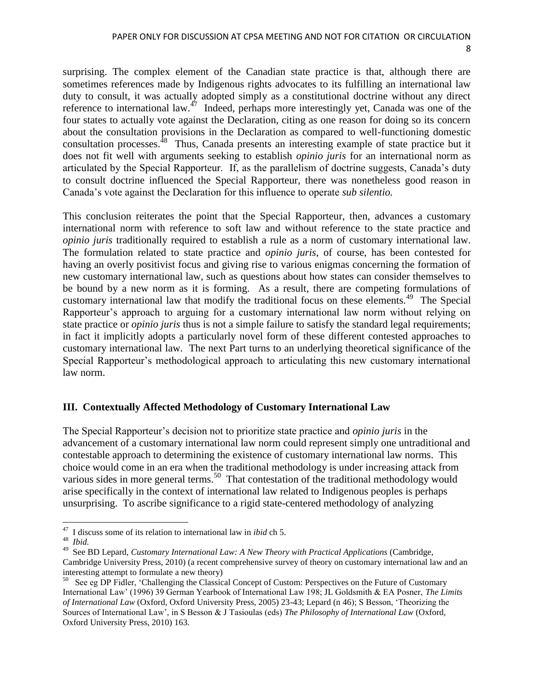surprising. The complex element of the Canadian state practice is that, although there are sometimes references made by Indigenous rights advocates to its fulfilling an international law duty to consult, it was actually adopted simply as a constitutional doctrine without any direct reference to international law. $47$  Indeed, perhaps more interestingly yet, Canada was one of the four states to actually vote against the Declaration, citing as one reason for doing so its concern about the consultation provisions in the Declaration as compared to well-functioning domestic consultation processes.<sup>48</sup> Thus, Canada presents an interesting example of state practice but it does not fit well with arguments seeking to establish *opinio juris* for an international norm as articulated by the Special Rapporteur. If, as the parallelism of doctrine suggests, Canada's duty to consult doctrine influenced the Special Rapporteur, there was nonetheless good reason in Canada's vote against the Declaration for this influence to operate *sub silentio.*

This conclusion reiterates the point that the Special Rapporteur, then, advances a customary international norm with reference to soft law and without reference to the state practice and *opinio juris* traditionally required to establish a rule as a norm of customary international law. The formulation related to state practice and *opinio juris*, of course, has been contested for having an overly positivist focus and giving rise to various enigmas concerning the formation of new customary international law, such as questions about how states can consider themselves to be bound by a new norm as it is forming. As a result, there are competing formulations of customary international law that modify the traditional focus on these elements.<sup>49</sup> The Special Rapporteur's approach to arguing for a customary international law norm without relying on state practice or *opinio juris* thus is not a simple failure to satisfy the standard legal requirements; in fact it implicitly adopts a particularly novel form of these different contested approaches to customary international law. The next Part turns to an underlying theoretical significance of the Special Rapporteur's methodological approach to articulating this new customary international law norm.

# **III. Contextually Affected Methodology of Customary International Law**

The Special Rapporteur's decision not to prioritize state practice and *opinio juris* in the advancement of a customary international law norm could represent simply one untraditional and contestable approach to determining the existence of customary international law norms. This choice would come in an era when the traditional methodology is under increasing attack from various sides in more general terms.<sup>50</sup> That contestation of the traditional methodology would arise specifically in the context of international law related to Indigenous peoples is perhaps unsurprising. To ascribe significance to a rigid state-centered methodology of analyzing

<sup>47</sup> I discuss some of its relation to international law in *ibid* ch 5.

<sup>48</sup> *Ibid.* 

<sup>49</sup> See BD Lepard, *Customary International Law: A New Theory with Practical Applications* (Cambridge, Cambridge University Press, 2010) (a recent comprehensive survey of theory on customary international law and an interesting attempt to formulate a new theory)

<sup>50</sup> See eg DP Fidler, 'Challenging the Classical Concept of Custom: Perspectives on the Future of Customary International Law' (1996) 39 German Yearbook of International Law 198; JL Goldsmith & EA Posner, *The Limits of International Law* (Oxford, Oxford University Press, 2005) 23-43; Lepard (n 46); S Besson, 'Theorizing the Sources of International Law', in S Besson & J Tasioulas (eds) *The Philosophy of International Law* (Oxford, Oxford University Press, 2010) 163.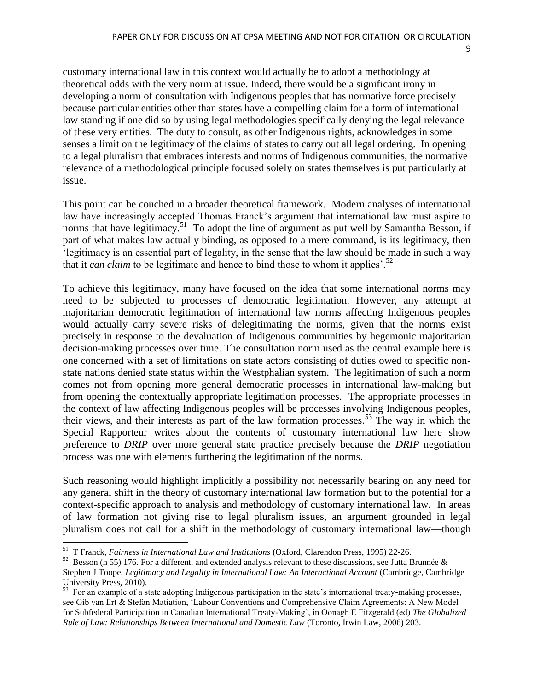9

customary international law in this context would actually be to adopt a methodology at theoretical odds with the very norm at issue. Indeed, there would be a significant irony in developing a norm of consultation with Indigenous peoples that has normative force precisely because particular entities other than states have a compelling claim for a form of international law standing if one did so by using legal methodologies specifically denying the legal relevance of these very entities. The duty to consult, as other Indigenous rights, acknowledges in some senses a limit on the legitimacy of the claims of states to carry out all legal ordering. In opening to a legal pluralism that embraces interests and norms of Indigenous communities, the normative relevance of a methodological principle focused solely on states themselves is put particularly at issue.

This point can be couched in a broader theoretical framework. Modern analyses of international law have increasingly accepted Thomas Franck's argument that international law must aspire to norms that have legitimacy.<sup>51</sup> To adopt the line of argument as put well by Samantha Besson, if part of what makes law actually binding, as opposed to a mere command, is its legitimacy, then 'legitimacy is an essential part of legality, in the sense that the law should be made in such a way that it *can claim* to be legitimate and hence to bind those to whom it applies'.<sup>52</sup>

To achieve this legitimacy, many have focused on the idea that some international norms may need to be subjected to processes of democratic legitimation. However, any attempt at majoritarian democratic legitimation of international law norms affecting Indigenous peoples would actually carry severe risks of delegitimating the norms, given that the norms exist precisely in response to the devaluation of Indigenous communities by hegemonic majoritarian decision-making processes over time. The consultation norm used as the central example here is one concerned with a set of limitations on state actors consisting of duties owed to specific nonstate nations denied state status within the Westphalian system. The legitimation of such a norm comes not from opening more general democratic processes in international law-making but from opening the contextually appropriate legitimation processes. The appropriate processes in the context of law affecting Indigenous peoples will be processes involving Indigenous peoples, their views, and their interests as part of the law formation processes.<sup>53</sup> The way in which the Special Rapporteur writes about the contents of customary international law here show preference to *DRIP* over more general state practice precisely because the *DRIP* negotiation process was one with elements furthering the legitimation of the norms.

Such reasoning would highlight implicitly a possibility not necessarily bearing on any need for any general shift in the theory of customary international law formation but to the potential for a context-specific approach to analysis and methodology of customary international law. In areas of law formation not giving rise to legal pluralism issues, an argument grounded in legal pluralism does not call for a shift in the methodology of customary international law—though

 $\overline{a}$ 

<sup>51</sup> T Franck, *Fairness in International Law and Institutions* (Oxford, Clarendon Press, 1995) 22-26.

<sup>&</sup>lt;sup>52</sup> Besson (n 55) 176. For a different, and extended analysis relevant to these discussions, see Jutta Brunnée & Stephen J Toope, *Legitimacy and Legality in International Law: An Interactional Account* (Cambridge, Cambridge University Press, 2010).

<sup>&</sup>lt;sup>53</sup> For an example of a state adopting Indigenous participation in the state's international treaty-making processes, see Gib van Ert & Stefan Matiation, 'Labour Conventions and Comprehensive Claim Agreements: A New Model for Subfederal Participation in Canadian International Treaty-Making', in Oonagh E Fitzgerald (ed) *The Globalized Rule of Law: Relationships Between International and Domestic Law* (Toronto, Irwin Law, 2006) 203.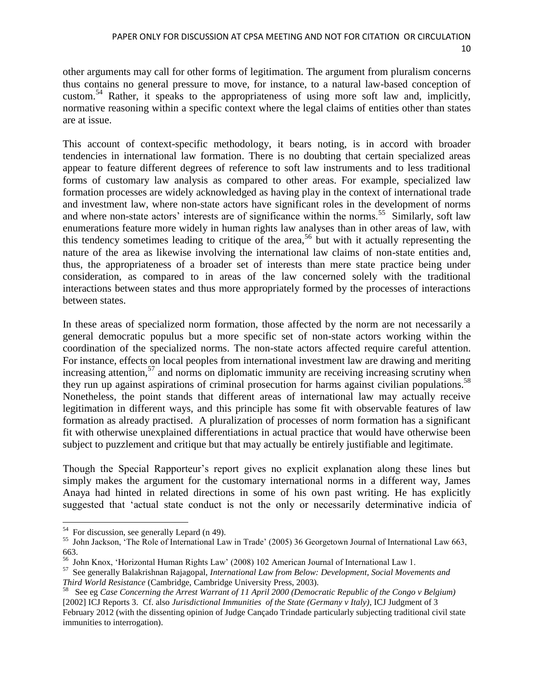other arguments may call for other forms of legitimation. The argument from pluralism concerns thus contains no general pressure to move, for instance, to a natural law-based conception of custom.<sup>54</sup> Rather, it speaks to the appropriateness of using more soft law and, implicitly, normative reasoning within a specific context where the legal claims of entities other than states are at issue.

This account of context-specific methodology, it bears noting, is in accord with broader tendencies in international law formation. There is no doubting that certain specialized areas appear to feature different degrees of reference to soft law instruments and to less traditional forms of customary law analysis as compared to other areas. For example, specialized law formation processes are widely acknowledged as having play in the context of international trade and investment law, where non-state actors have significant roles in the development of norms and where non-state actors' interests are of significance within the norms.<sup>55</sup> Similarly, soft law enumerations feature more widely in human rights law analyses than in other areas of law, with this tendency sometimes leading to critique of the area,<sup>56</sup> but with it actually representing the nature of the area as likewise involving the international law claims of non-state entities and, thus, the appropriateness of a broader set of interests than mere state practice being under consideration, as compared to in areas of the law concerned solely with the traditional interactions between states and thus more appropriately formed by the processes of interactions between states.

In these areas of specialized norm formation, those affected by the norm are not necessarily a general democratic populus but a more specific set of non-state actors working within the coordination of the specialized norms. The non-state actors affected require careful attention. For instance, effects on local peoples from international investment law are drawing and meriting increasing attention,<sup>57</sup> and norms on diplomatic immunity are receiving increasing scrutiny when they run up against aspirations of criminal prosecution for harms against civilian populations.<sup>58</sup> Nonetheless, the point stands that different areas of international law may actually receive legitimation in different ways, and this principle has some fit with observable features of law formation as already practised. A pluralization of processes of norm formation has a significant fit with otherwise unexplained differentiations in actual practice that would have otherwise been subject to puzzlement and critique but that may actually be entirely justifiable and legitimate.

Though the Special Rapporteur's report gives no explicit explanation along these lines but simply makes the argument for the customary international norms in a different way, James Anaya had hinted in related directions in some of his own past writing. He has explicitly suggested that 'actual state conduct is not the only or necessarily determinative indicia of

<sup>&</sup>lt;sup>54</sup> For discussion, see generally Lepard (n 49).

<sup>&</sup>lt;sup>55</sup> John Jackson, 'The Role of International Law in Trade' (2005) 36 Georgetown Journal of International Law 663, 663.

<sup>56</sup> John Knox, 'Horizontal Human Rights Law' (2008) 102 American Journal of International Law 1.

<sup>57</sup> See generally Balakrishnan Rajagopal, *International Law from Below: Development, Social Movements and Third World Resistance* (Cambridge, Cambridge University Press, 2003).

<sup>58</sup> See eg *Case Concerning the Arrest Warrant of 11 April 2000 (Democratic Republic of the Congo v Belgium)* [2002] ICJ Reports 3. Cf. also *Jurisdictional Immunities of the State (Germany v Italy)*, ICJ Judgment of 3 February 2012 (with the dissenting opinion of Judge Cançado Trindade particularly subjecting traditional civil state immunities to interrogation).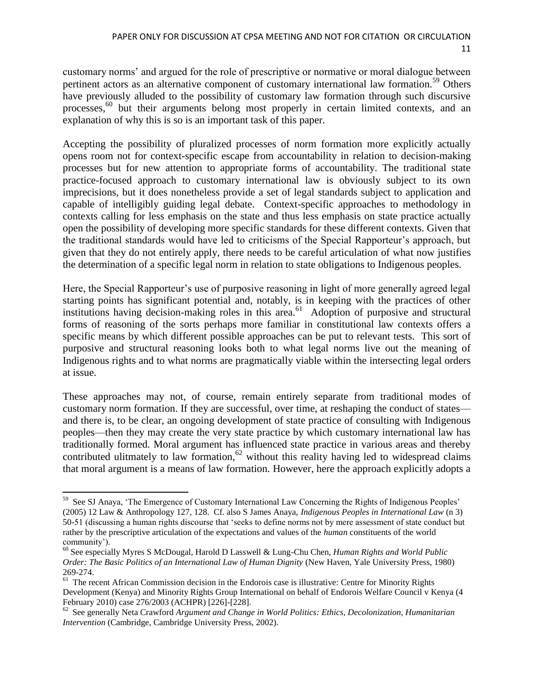customary norms' and argued for the role of prescriptive or normative or moral dialogue between pertinent actors as an alternative component of customary international law formation.<sup>59</sup> Others have previously alluded to the possibility of customary law formation through such discursive processes,<sup>60</sup> but their arguments belong most properly in certain limited contexts, and an explanation of why this is so is an important task of this paper.

Accepting the possibility of pluralized processes of norm formation more explicitly actually opens room not for context-specific escape from accountability in relation to decision-making processes but for new attention to appropriate forms of accountability. The traditional state practice-focused approach to customary international law is obviously subject to its own imprecisions, but it does nonetheless provide a set of legal standards subject to application and capable of intelligibly guiding legal debate. Context-specific approaches to methodology in contexts calling for less emphasis on the state and thus less emphasis on state practice actually open the possibility of developing more specific standards for these different contexts. Given that the traditional standards would have led to criticisms of the Special Rapporteur's approach, but given that they do not entirely apply, there needs to be careful articulation of what now justifies the determination of a specific legal norm in relation to state obligations to Indigenous peoples.

Here, the Special Rapporteur's use of purposive reasoning in light of more generally agreed legal starting points has significant potential and, notably, is in keeping with the practices of other institutions having decision-making roles in this area.<sup>61</sup> Adoption of purposive and structural forms of reasoning of the sorts perhaps more familiar in constitutional law contexts offers a specific means by which different possible approaches can be put to relevant tests. This sort of purposive and structural reasoning looks both to what legal norms live out the meaning of Indigenous rights and to what norms are pragmatically viable within the intersecting legal orders at issue.

These approaches may not, of course, remain entirely separate from traditional modes of customary norm formation. If they are successful, over time, at reshaping the conduct of states and there is, to be clear, an ongoing development of state practice of consulting with Indigenous peoples—then they may create the very state practice by which customary international law has traditionally formed. Moral argument has influenced state practice in various areas and thereby contributed ulitmately to law formation,  $62$  without this reality having led to widespread claims that moral argument is a means of law formation. However, here the approach explicitly adopts a

<sup>59</sup> See SJ Anaya, 'The Emergence of Customary International Law Concerning the Rights of Indigenous Peoples' (2005) 12 Law & Anthropology 127, 128. Cf. also S James Anaya, *Indigenous Peoples in International Law* (n 3) 50-51 (discussing a human rights discourse that 'seeks to define norms not by mere assessment of state conduct but rather by the prescriptive articulation of the expectations and values of the *human* constituents of the world community').

<sup>60</sup> See especially Myres S McDougal, Harold D Lasswell & Lung-Chu Chen, *Human Rights and World Public Order: The Basic Politics of an International Law of Human Dignity* (New Haven, Yale University Press, 1980) 269-274.

<sup>&</sup>lt;sup>61</sup> The recent African Commission decision in the Endorois case is illustrative: Centre for Minority Rights Development (Kenya) and Minority Rights Group International on behalf of Endorois Welfare Council v Kenya (4 February 2010) case 276/2003 (ACHPR) [226]-[228].

<sup>62</sup> See generally Neta Crawford *Argument and Change in World Politics: Ethics, Decolonization, Humanitarian Intervention* (Cambridge, Cambridge University Press, 2002).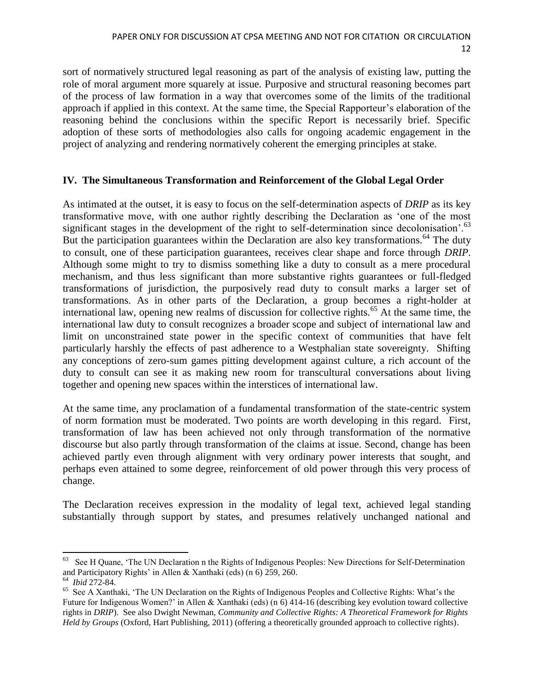sort of normatively structured legal reasoning as part of the analysis of existing law, putting the role of moral argument more squarely at issue. Purposive and structural reasoning becomes part of the process of law formation in a way that overcomes some of the limits of the traditional approach if applied in this context. At the same time, the Special Rapporteur's elaboration of the reasoning behind the conclusions within the specific Report is necessarily brief. Specific adoption of these sorts of methodologies also calls for ongoing academic engagement in the project of analyzing and rendering normatively coherent the emerging principles at stake.

## **IV. The Simultaneous Transformation and Reinforcement of the Global Legal Order**

As intimated at the outset, it is easy to focus on the self-determination aspects of *DRIP* as its key transformative move, with one author rightly describing the Declaration as 'one of the most significant stages in the development of the right to self-determination since decolonisation'.<sup>63</sup> But the participation guarantees within the Declaration are also key transformations.<sup>64</sup> The duty to consult, one of these participation guarantees, receives clear shape and force through *DRIP*. Although some might to try to dismiss something like a duty to consult as a mere procedural mechanism, and thus less significant than more substantive rights guarantees or full-fledged transformations of jurisdiction, the purposively read duty to consult marks a larger set of transformations. As in other parts of the Declaration, a group becomes a right-holder at international law, opening new realms of discussion for collective rights.<sup>65</sup> At the same time, the international law duty to consult recognizes a broader scope and subject of international law and limit on unconstrained state power in the specific context of communities that have felt particularly harshly the effects of past adherence to a Westphalian state sovereignty. Shifting any conceptions of zero-sum games pitting development against culture, a rich account of the duty to consult can see it as making new room for transcultural conversations about living together and opening new spaces within the interstices of international law.

At the same time, any proclamation of a fundamental transformation of the state-centric system of norm formation must be moderated. Two points are worth developing in this regard. First, transformation of law has been achieved not only through transformation of the normative discourse but also partly through transformation of the claims at issue. Second, change has been achieved partly even through alignment with very ordinary power interests that sought, and perhaps even attained to some degree, reinforcement of old power through this very process of change.

The Declaration receives expression in the modality of legal text, achieved legal standing substantially through support by states, and presumes relatively unchanged national and

<sup>&</sup>lt;sup>63</sup> See H Quane, 'The UN Declaration n the Rights of Indigenous Peoples: New Directions for Self-Determination and Participatory Rights' in Allen & Xanthaki (eds) (n 6) 259, 260.

<sup>64</sup> *Ibid* 272-84.

<sup>&</sup>lt;sup>65</sup> See A Xanthaki, 'The UN Declaration on the Rights of Indigenous Peoples and Collective Rights: What's the Future for Indigenous Women?' in Allen & Xanthaki (eds) (n 6) 414-16 (describing key evolution toward collective rights in *DRIP*). See also Dwight Newman, *Community and Collective Rights: A Theoretical Framework for Rights Held by Groups* (Oxford, Hart Publishing, 2011) (offering a theoretically grounded approach to collective rights).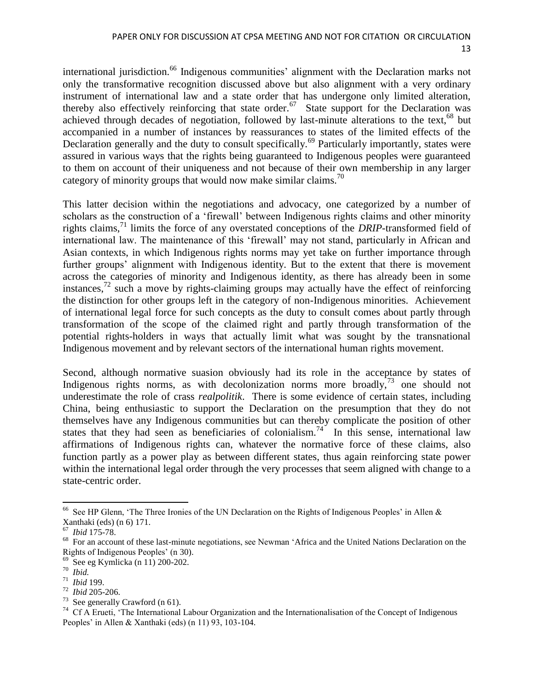international jurisdiction.<sup>66</sup> Indigenous communities' alignment with the Declaration marks not only the transformative recognition discussed above but also alignment with a very ordinary instrument of international law and a state order that has undergone only limited alteration, thereby also effectively reinforcing that state order.<sup>67</sup> State support for the Declaration was achieved through decades of negotiation, followed by last-minute alterations to the text, $^{68}$  but accompanied in a number of instances by reassurances to states of the limited effects of the Declaration generally and the duty to consult specifically.<sup>69</sup> Particularly importantly, states were assured in various ways that the rights being guaranteed to Indigenous peoples were guaranteed to them on account of their uniqueness and not because of their own membership in any larger category of minority groups that would now make similar claims.<sup>70</sup>

This latter decision within the negotiations and advocacy, one categorized by a number of scholars as the construction of a 'firewall' between Indigenous rights claims and other minority rights claims,<sup>71</sup> limits the force of any overstated conceptions of the *DRIP*-transformed field of international law. The maintenance of this 'firewall' may not stand, particularly in African and Asian contexts, in which Indigenous rights norms may yet take on further importance through further groups' alignment with Indigenous identity. But to the extent that there is movement across the categories of minority and Indigenous identity, as there has already been in some instances,<sup>72</sup> such a move by rights-claiming groups may actually have the effect of reinforcing the distinction for other groups left in the category of non-Indigenous minorities. Achievement of international legal force for such concepts as the duty to consult comes about partly through transformation of the scope of the claimed right and partly through transformation of the potential rights-holders in ways that actually limit what was sought by the transnational Indigenous movement and by relevant sectors of the international human rights movement.

Second, although normative suasion obviously had its role in the acceptance by states of Indigenous rights norms, as with decolonization norms more broadly,<sup>73</sup> one should not underestimate the role of crass *realpolitik*. There is some evidence of certain states, including China, being enthusiastic to support the Declaration on the presumption that they do not themselves have any Indigenous communities but can thereby complicate the position of other states that they had seen as beneficiaries of colonialism.<sup>74</sup> In this sense, international law affirmations of Indigenous rights can, whatever the normative force of these claims, also function partly as a power play as between different states, thus again reinforcing state power within the international legal order through the very processes that seem aligned with change to a state-centric order.

 $73$  See generally Crawford (n 61).

<sup>&</sup>lt;sup>66</sup> See HP Glenn, 'The Three Ironies of the UN Declaration on the Rights of Indigenous Peoples' in Allen & Xanthaki (eds) (n 6) 171.

<sup>67</sup> *Ibid* 175-78.

<sup>&</sup>lt;sup>68</sup> For an account of these last-minute negotiations, see Newman 'Africa and the United Nations Declaration on the Rights of Indigenous Peoples' (n 30).

<sup>69</sup> See eg Kymlicka (n 11) 200-202.

<sup>70</sup> *Ibid.*

<sup>71</sup> *Ibid* 199.

<sup>72</sup> *Ibid* 205-206.

<sup>&</sup>lt;sup>74</sup> Cf A Erueti, 'The International Labour Organization and the Internationalisation of the Concept of Indigenous Peoples' in Allen & Xanthaki (eds) (n 11) 93, 103-104.